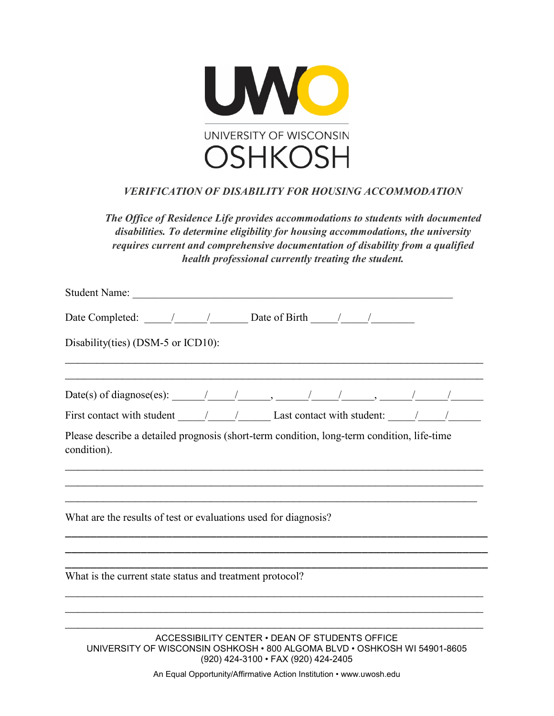

## *VERIFICATION OF DISABILITY FOR HOUSING ACCOMMODATION*

*The Office of Residence Life provides accommodations to students with documented disabilities. To determine eligibility for housing accommodations, the university requires current and comprehensive documentation of disability from a qualified health professional currently treating the student.*

| Date Completed: $\frac{1}{\sqrt{1-\frac{1}{2}}}\frac{1}{\sqrt{1-\frac{1}{2}}}\frac{1}{\sqrt{1-\frac{1}{2}}}\frac{1}{\sqrt{1-\frac{1}{2}}}\frac{1}{\sqrt{1-\frac{1}{2}}}\frac{1}{\sqrt{1-\frac{1}{2}}}\frac{1}{\sqrt{1-\frac{1}{2}}}\frac{1}{\sqrt{1-\frac{1}{2}}}\frac{1}{\sqrt{1-\frac{1}{2}}}\frac{1}{\sqrt{1-\frac{1}{2}}}\frac{1}{\sqrt{1-\frac{1}{2}}}\frac{1}{\sqrt{1-\frac{1}{2}}}\frac{1}{\sqrt{1-\frac{$ |
|-------------------------------------------------------------------------------------------------------------------------------------------------------------------------------------------------------------------------------------------------------------------------------------------------------------------------------------------------------------------------------------------------------------------|
| Disability(ties) (DSM-5 or ICD10):                                                                                                                                                                                                                                                                                                                                                                                |
| Date(s) of diagnose(es): $\frac{1}{\sqrt{2\pi}}$ / $\frac{1}{\sqrt{2\pi}}$ / $\frac{1}{\sqrt{2\pi}}$ / $\frac{1}{\sqrt{2\pi}}$ / $\frac{1}{\sqrt{2\pi}}$                                                                                                                                                                                                                                                          |
| First contact with student $\frac{1}{\sqrt{2\pi}}$ Last contact with student: $\frac{1}{\sqrt{2\pi}}$                                                                                                                                                                                                                                                                                                             |
| Please describe a detailed prognosis (short-term condition, long-term condition, life-time<br>condition).                                                                                                                                                                                                                                                                                                         |
| What are the results of test or evaluations used for diagnosis?                                                                                                                                                                                                                                                                                                                                                   |
| What is the current state status and treatment protocol?                                                                                                                                                                                                                                                                                                                                                          |
| ACCESSIBILITY CENTER . DEAN OF STUDENTS OFFICE<br>UNIVERSITY OF WISCONSIN OSHKOSH . 800 ALGOMA BLVD . OSHKOSH WI 54901-8605                                                                                                                                                                                                                                                                                       |

(920) 424-3100 • FAX (920) 424-2405

An Equal Opportunity/Affirmative Action Institution • www.uwosh.edu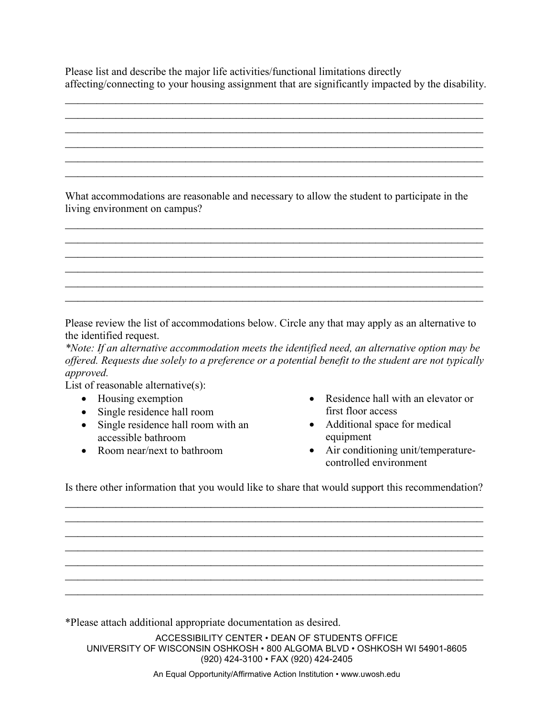Please list and describe the major life activities/functional limitations directly affecting/connecting to your housing assignment that are significantly impacted by the disability.

 $\mathcal{L}_\text{max}$  , and the contribution of the contribution of the contribution of the contribution of the contribution of the contribution of the contribution of the contribution of the contribution of the contribution of t  $\mathcal{L}_\text{max}$  , and the contribution of the contribution of the contribution of the contribution of the contribution of the contribution of the contribution of the contribution of the contribution of the contribution of t  $\mathcal{L}_\text{max}$  , and the contribution of the contribution of the contribution of the contribution of the contribution of the contribution of the contribution of the contribution of the contribution of the contribution of t  $\mathcal{L}_\text{max}$  , and the contribution of the contribution of the contribution of the contribution of the contribution of the contribution of the contribution of the contribution of the contribution of the contribution of t  $\mathcal{L}_\text{max}$  , and the contribution of the contribution of the contribution of the contribution of the contribution of the contribution of the contribution of the contribution of the contribution of the contribution of t  $\mathcal{L}_\text{max}$  , and the contribution of the contribution of the contribution of the contribution of the contribution of the contribution of the contribution of the contribution of the contribution of the contribution of t

What accommodations are reasonable and necessary to allow the student to participate in the living environment on campus?

 $\mathcal{L}_\text{max}$  , and the contribution of the contribution of the contribution of the contribution of the contribution of the contribution of the contribution of the contribution of the contribution of the contribution of t  $\mathcal{L}_\text{max}$  , and the contribution of the contribution of the contribution of the contribution of the contribution of the contribution of the contribution of the contribution of the contribution of the contribution of t  $\mathcal{L}_\text{max}$  , and the contribution of the contribution of the contribution of the contribution of the contribution of the contribution of the contribution of the contribution of the contribution of the contribution of t  $\mathcal{L}_\text{max}$  , and the contribution of the contribution of the contribution of the contribution of the contribution of the contribution of the contribution of the contribution of the contribution of the contribution of t  $\mathcal{L}_\text{max}$  , and the contribution of the contribution of the contribution of the contribution of the contribution of the contribution of the contribution of the contribution of the contribution of the contribution of t  $\mathcal{L}_\text{max}$  , and the contribution of the contribution of the contribution of the contribution of the contribution of the contribution of the contribution of the contribution of the contribution of the contribution of t

Please review the list of accommodations below. Circle any that may apply as an alternative to the identified request.

*\*Note: If an alternative accommodation meets the identified need, an alternative option may be offered. Requests due solely to a preference or a potential benefit to the student are not typically approved.* 

List of reasonable alternative(s):

- Housing exemption
- Single residence hall room
- Single residence hall room with an accessible bathroom
- Room near/next to bathroom
- Residence hall with an elevator or first floor access
- Additional space for medical equipment
- Air conditioning unit/temperaturecontrolled environment

Is there other information that you would like to share that would support this recommendation?  $\mathcal{L}_\text{max}$  , and the contribution of the contribution of the contribution of the contribution of the contribution of the contribution of the contribution of the contribution of the contribution of the contribution of t

 $\mathcal{L}_\text{max}$  , and the contribution of the contribution of the contribution of the contribution of the contribution of the contribution of the contribution of the contribution of the contribution of the contribution of t  $\mathcal{L}_\text{max}$  , and the contribution of the contribution of the contribution of the contribution of the contribution of the contribution of the contribution of the contribution of the contribution of the contribution of t  $\mathcal{L}_\text{max}$  , and the contribution of the contribution of the contribution of the contribution of the contribution of the contribution of the contribution of the contribution of the contribution of the contribution of t  $\mathcal{L}_\text{max}$  , and the contribution of the contribution of the contribution of the contribution of the contribution of the contribution of the contribution of the contribution of the contribution of the contribution of t  $\mathcal{L}_\text{max}$  , and the contribution of the contribution of the contribution of the contribution of the contribution of the contribution of the contribution of the contribution of the contribution of the contribution of t  $\overline{a}$  , and the contribution of the contribution of the contribution of the contribution of the contribution of the contribution of the contribution of the contribution of the contribution of the contribution of the co

\*Please attach additional appropriate documentation as desired.

ACCESSIBILITY CENTER • DEAN OF STUDENTS OFFICE UNIVERSITY OF WISCONSIN OSHKOSH • 800 ALGOMA BLVD • OSHKOSH WI 54901-8605 (920) 424-3100 • FAX (920) 424-2405

An Equal Opportunity/Affirmative Action Institution • www.uwosh.edu